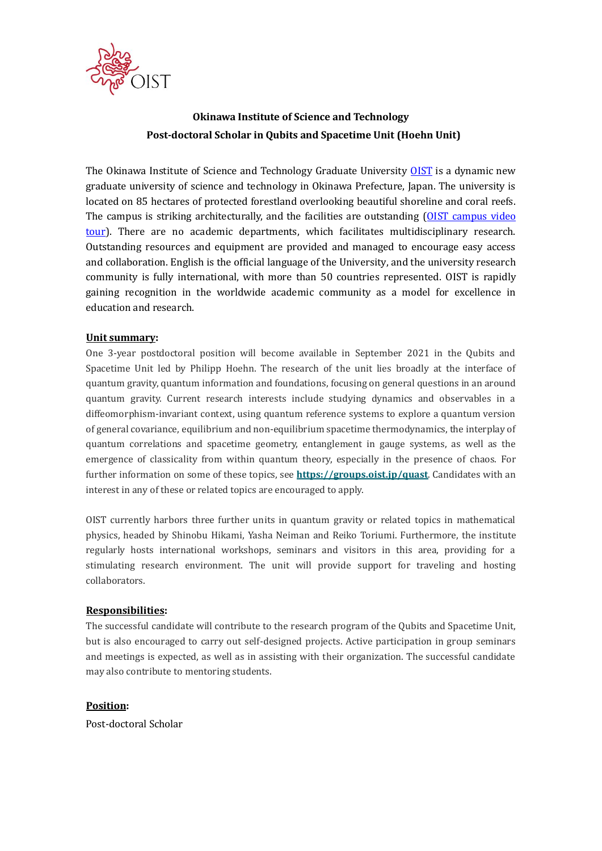

# **Okinawa Institute of Science and Technology Post-doctoral Scholar in Qubits and Spacetime Unit (Hoehn Unit)**

The Okinawa Institute of Science and Technology Graduate University **OIST** is a dynamic new graduate university of science and technology in Okinawa Prefecture, Japan. The university is located on 85 hectares of protected forestland overlooking beautiful shoreline and coral reefs. The campus is striking architecturally, and the facilities are outstanding [\(OIST campus video](https://youtu.be/OLeylXbZDpo)  [tour\)](https://youtu.be/OLeylXbZDpo). There are no academic departments, which facilitates multidisciplinary research. Outstanding resources and equipment are provided and managed to encourage easy access and collaboration. English is the official language of the University, and the university research community is fully international, with more than 50 countries represented. OIST is rapidly gaining recognition in the worldwide academic community as a model for excellence in education and research.

### **Unit summary:**

One 3-year postdoctoral position will become available in September 2021 in the Qubits and Spacetime Unit led by Philipp Hoehn. The research of the unit lies broadly at the interface of quantum gravity, quantum information and foundations, focusing on general questions in an around quantum gravity. Current research interests include studying dynamics and observables in a diffeomorphism-invariant context, using quantum reference systems to explore a quantum version of general covariance, equilibrium and non-equilibrium spacetime thermodynamics, the interplay of quantum correlations and spacetime geometry, entanglement in gauge systems, as well as the emergence of classicality from within quantum theory, especially in the presence of chaos. For further information on some of these topics, see **<https://groups.oist.jp/quast>**. Candidates with an interest in any of these or related topics are encouraged to apply.

OIST currently harbors three further units in quantum gravity or related topics in mathematical physics, headed by Shinobu Hikami, Yasha Neiman and Reiko Toriumi. Furthermore, the institute regularly hosts international workshops, seminars and visitors in this area, providing for a stimulating research environment. The unit will provide support for traveling and hosting collaborators.

#### **Responsibilities:**

The successful candidate will contribute to the research program of the Qubits and Spacetime Unit, but is also encouraged to carry out self-designed projects. Active participation in group seminars and meetings is expected, as well as in assisting with their organization. The successful candidate may also contribute to mentoring students.

#### **Position:**

Post-doctoral Scholar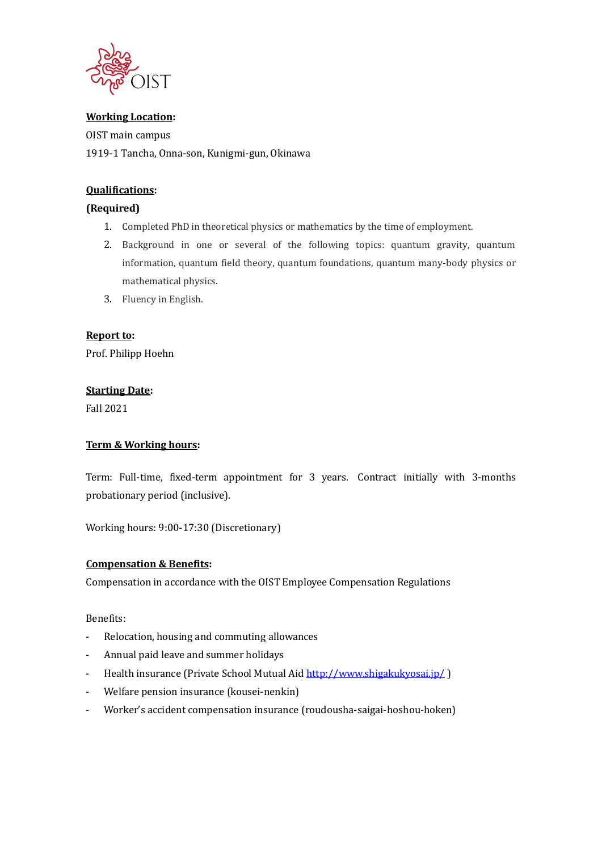

### **Working Location:**

OIST main campus 1919-1 Tancha, Onna-son, Kunigmi-gun, Okinawa

### **Qualifications:**

### **(Required)**

- 1. Completed PhD in theoretical physics or mathematics by the time of employment.
- 2. Background in one or several of the following topics: quantum gravity, quantum information, quantum field theory, quantum foundations, quantum many-body physics or mathematical physics.
- 3. Fluency in English.

### **Report to:**

Prof. Philipp Hoehn

#### **Starting Date:**

Fall 2021

#### **Term & Working hours:**

Term: Full-time, fixed-term appointment for 3 years. Contract initially with 3-months probationary period (inclusive).

Working hours: 9:00-17:30 (Discretionary)

### **Compensation & Benefits:**

Compensation in accordance with the OIST Employee Compensation Regulations

Benefits:

- Relocation, housing and commuting allowances
- Annual paid leave and summer holidays
- Health insurance (Private School Mutual Aid<http://www.shigakukyosai.jp/>)
- Welfare pension insurance (kousei-nenkin)
- Worker's accident compensation insurance (roudousha-saigai-hoshou-hoken)